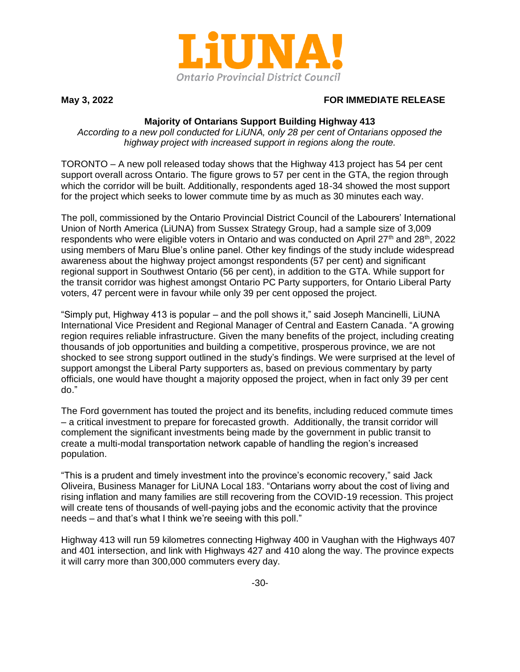

## **May 3, 2022 FOR IMMEDIATE RELEASE**

## **Majority of Ontarians Support Building Highway 413**

*According to a new poll conducted for LiUNA, only 28 per cent of Ontarians opposed the highway project with increased support in regions along the route.*

TORONTO – A new poll released today shows that the Highway 413 project has 54 per cent support overall across Ontario. The figure grows to 57 per cent in the GTA, the region through which the corridor will be built. Additionally, respondents aged 18-34 showed the most support for the project which seeks to lower commute time by as much as 30 minutes each way.

The poll, commissioned by the Ontario Provincial District Council of the Labourers' International Union of North America (LiUNA) from Sussex Strategy Group, had a sample size of 3,009 respondents who were eligible voters in Ontario and was conducted on April 27<sup>th</sup> and 28<sup>th</sup>, 2022 using members of Maru Blue's online panel. Other key findings of the study include widespread awareness about the highway project amongst respondents (57 per cent) and significant regional support in Southwest Ontario (56 per cent), in addition to the GTA. While support for the transit corridor was highest amongst Ontario PC Party supporters, for Ontario Liberal Party voters, 47 percent were in favour while only 39 per cent opposed the project.

"Simply put, Highway 413 is popular – and the poll shows it," said Joseph Mancinelli, LiUNA International Vice President and Regional Manager of Central and Eastern Canada. "A growing region requires reliable infrastructure. Given the many benefits of the project, including creating thousands of job opportunities and building a competitive, prosperous province, we are not shocked to see strong support outlined in the study's findings. We were surprised at the level of support amongst the Liberal Party supporters as, based on previous commentary by party officials, one would have thought a majority opposed the project, when in fact only 39 per cent do."

The Ford government has touted the project and its benefits, including reduced commute times – a critical investment to prepare for forecasted growth. Additionally, the transit corridor will complement the significant investments being made by the government in public transit to create a multi-modal transportation network capable of handling the region's increased population.

"This is a prudent and timely investment into the province's economic recovery," said Jack Oliveira, Business Manager for LiUNA Local 183. "Ontarians worry about the cost of living and rising inflation and many families are still recovering from the COVID-19 recession. This project will create tens of thousands of well-paying jobs and the economic activity that the province needs – and that's what I think we're seeing with this poll."

Highway 413 will run 59 kilometres connecting Highway 400 in Vaughan with the Highways 407 and 401 intersection, and link with Highways 427 and 410 along the way. The province expects it will carry more than 300,000 commuters every day.